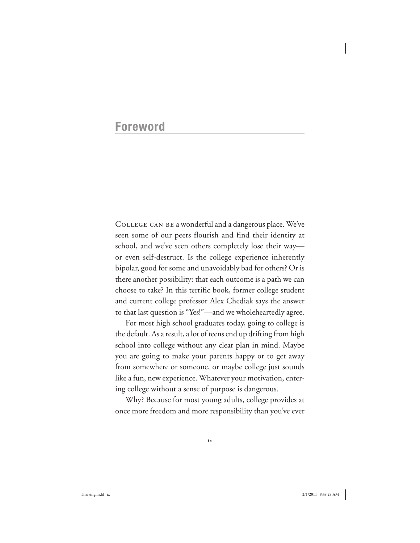## **Foreword**

College can be a wonderful and a dangerous place. We've seen some of our peers flourish and find their identity at school, and we've seen others completely lose their way or even self-destruct. Is the college experience inherently bipolar, good for some and unavoidably bad for others? Or is there another possibility: that each outcome is a path we can choose to take? In this terrific book, former college student and current college professor Alex Chediak says the answer to that last question is "Yes!"—and we wholeheartedly agree.

For most high school graduates today, going to college is the default. As a result, a lot of teens end up drifting from high school into college without any clear plan in mind. Maybe you are going to make your parents happy or to get away from somewhere or someone, or maybe college just sounds like a fun, new experience. Whatever your motivation, entering college without a sense of purpose is dangerous.

Why? Because for most young adults, college provides at once more freedom and more responsibility than you've ever